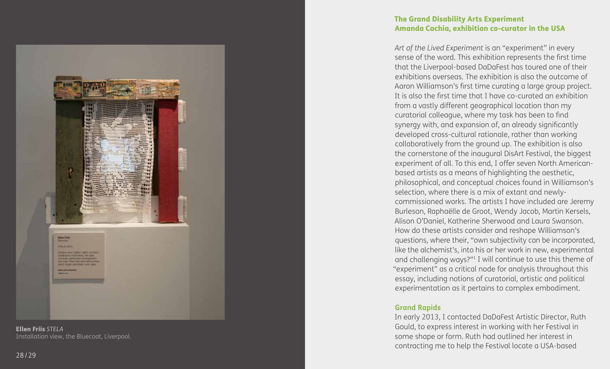

Ellen Friis *STELA* Installation view, the Bluecoat, Liverpool.

## The Grand Disability Arts Experiment Amanda Cachia, exhibition co-curator in the USA

*Art of the Lived Experiment* is an "experiment" in every sense of the word. This exhibition represents the first time that the Liverpool-based DaDaFest has toured one of their exhibitions overseas. The exhibition is also the outcome of Aaron Williamson's first time curating a large group project. It is also the first time that I have co-curated an exhibition from a vastly different geographical location than my curatorial colleague, where my task has been to find synergy with, and expansion of, an already significantly developed cross-cultural rationale, rather than working collaboratively from the ground up. The exhibition is also the cornerstone of the inaugural DisArt Festival, the biggest experiment of all. To this end, I offer seven North Americanbased artists as a means of highlighting the aesthetic, philosophical, and conceptual choices found in Williamson's selection, where there is a mix of extant and newlycommissioned works. The artists I have included are Jeremy Burleson, Raphaëlle de Groot, Wendy Jacob, Martin Kersels, Alison O'Daniel, Katherine Sherwood and Laura Swanson. How do these artists consider and reshape Williamson's questions, where their, "own subjectivity can be incorporated, like the alchemist's, into his or her work in new, experimental and challenging ways?" 1 I will continue to use this theme of "experiment" as a critical node for analysis throughout this essay, including notions of curatorial, artistic and political experimentation as it pertains to complex embodiment.

### **Grand Rapids**

In early 2013, I contacted DaDaFest Artistic Director, Ruth Gould, to express interest in working with her Festival in some shape or form. Ruth had outlined her interest in contracting me to help the Festival locate a USA-based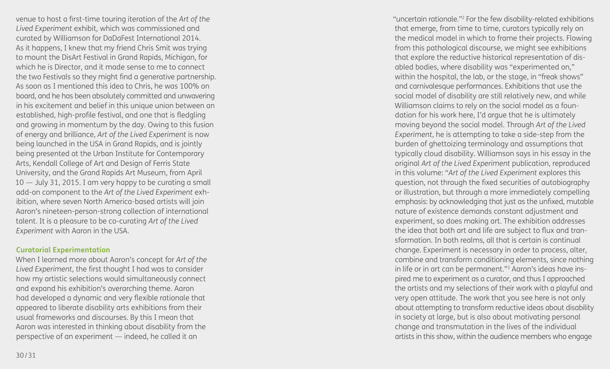venue to host a first-time touring iteration of the *Art of the Lived Experiment* exhibit, which was commissioned and curated by Williamson for DaDaFest International 2014. As it happens, I knew that my friend Chris Smit was trying to mount the DisArt Festival in Grand Rapids, Michigan, for which he is Director, and it made sense to me to connect the two Festivals so they might find a generative partnership. As soon as I mentioned this idea to Chris, he was 100% on board, and he has been absolutely committed and unwavering in his excitement and belief in this unique union between an established, high-profile festival, and one that is fledgling and growing in momentum by the day. Owing to this fusion of energy and brilliance, *Art of the Lived Experiment* is now being launched in the USA in Grand Rapids, and is jointly being presented at the Urban Institute for Contemporary Arts, Kendall College of Art and Design of Ferris State University, and the Grand Rapids Art Museum, from April 10 — July 31, 2015. I am very happy to be curating a small add-on component to the *Art of the Lived Experiment* exhibition, where seven North America-based artists will join Aaron's nineteen-person-strong collection of international talent. It is a pleasure to be co-curating *Art of the Lived Experiment* with Aaron in the USA.

# **Curatorial Experimentation**

When I learned more about Aaron's concept for *Art of the Lived Experiment*, the first thought I had was to consider how my artistic selections would simultaneously connect and expand his exhibition's overarching theme. Aaron had developed a dynamic and very flexible rationale that appeared to liberate disability arts exhibitions from their usual frameworks and discourses. By this I mean that Aaron was interested in thinking about disability from the perspective of an experiment — indeed, he called it an

"uncertain rationale." 2 For the few disability-related exhibitions that emerge, from time to time, curators typically rely on the medical model in which to frame their projects. Flowing from this pathological discourse, we might see exhibitions that explore the reductive historical representation of disabled bodies, where disability was "experimented on," within the hospital, the lab, or the stage, in "freak shows" and carnivalesque performances. Exhibitions that use the social model of disability are still relatively new, and while Williamson claims to rely on the social model as a foundation for his work here, I'd argue that he is ultimately moving beyond the social model. Through *Art of the Lived Experiment*, he is attempting to take a side-step from the burden of ghettoizing terminology and assumptions that typically cloud disability. Williamson says in his essay in the original *Art of the Lived Experiment* publication, reproduced in this volume: "*Art of the Lived Experiment* explores this question, not through the fixed securities of autobiography or illustration, but through a more immediately compelling emphasis: by acknowledging that just as the unfixed, mutable nature of existence demands constant adjustment and experiment, so does making art. The exhibition addresses the idea that both art and life are subject to flux and transformation. In both realms, all that is certain is continual change. Experiment is necessary in order to process, alter, combine and transform conditioning elements, since nothing in life or in art can be permanent." 3 Aaron's ideas have inspired me to experiment as a curator, and thus I approached the artists and my selections of their work with a playful and very open attitude. The work that you see here is not only about attempting to transform reductive ideas about disability in society at large, but is also about motivating personal change and transmutation in the lives of the individual artists in this show, within the audience members who engage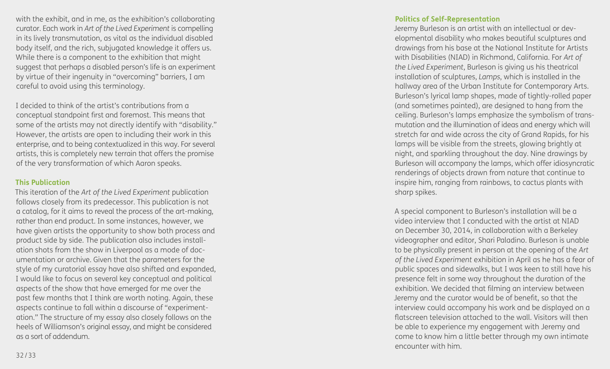with the exhibit, and in me, as the exhibition's collaborating curator. Each work in *Art of the Lived Experiment* is compelling in its lively transmutation, as vital as the individual disabled body itself, and the rich, subjugated knowledge it offers us. While there is a component to the exhibition that might suggest that perhaps a disabled person's life is an experiment by virtue of their ingenuity in "overcoming" barriers, I am careful to avoid using this terminology.

I decided to think of the artist's contributions from a conceptual standpoint first and foremost. This means that some of the artists may not directly identify with "disability." However, the artists are open to including their work in this enterprise, and to being contextualized in this way. For several artists, this is completely new terrain that offers the promise of the very transformation of which Aaron speaks.

#### **This Publication**

This iteration of the *Art of the Lived Experiment* publication follows closely from its predecessor. This publication is not a catalog, for it aims to reveal the process of the art-making, rather than end product. In some instances, however, we have given artists the opportunity to show both process and product side by side. The publication also includes installation shots from the show in Liverpool as a mode of documentation or archive. Given that the parameters for the style of my curatorial essay have also shifted and expanded, I would like to focus on several key conceptual and political aspects of the show that have emerged for me over the past few months that I think are worth noting. Again, these aspects continue to fall within a discourse of "experimentation." The structure of my essay also closely follows on the heels of Williamson's original essay, and might be considered as a sort of addendum.

#### **Politics of Self-Representation**

Jeremy Burleson is an artist with an intellectual or developmental disability who makes beautiful sculptures and drawings from his base at the National Institute for Artists with Disabilities (NIAD) in Richmond, California. For *Art of the Lived Experiment*, Burleson is giving us his theatrical installation of sculptures, *Lamps*, which is installed in the hallway area of the Urban Institute for Contemporary Arts. Burleson's lyrical lamp shapes, made of tightly-rolled paper (and sometimes painted), are designed to hang from the ceiling. Burleson's lamps emphasize the symbolism of transmutation and the illumination of ideas and energy which will stretch far and wide across the city of Grand Rapids, for his lamps will be visible from the streets, glowing brightly at night, and sparkling throughout the day. Nine drawings by Burleson will accompany the lamps, which offer idiosyncratic renderings of objects drawn from nature that continue to inspire him, ranging from rainbows, to cactus plants with sharp spikes.

A special component to Burleson's installation will be a video interview that I conducted with the artist at NIAD on December 30, 2014, in collaboration with a Berkeley videographer and editor, Shari Paladino. Burleson is unable to be physically present in person at the opening of the *Art of the Lived Experiment* exhibition in April as he has a fear of public spaces and sidewalks, but I was keen to still have his presence felt in some way throughout the duration of the exhibition. We decided that filming an interview between Jeremy and the curator would be of benefit, so that the interview could accompany his work and be displayed on a flatscreen television attached to the wall. Visitors will then be able to experience my engagement with Jeremy and come to know him a little better through my own intimate encounter with him.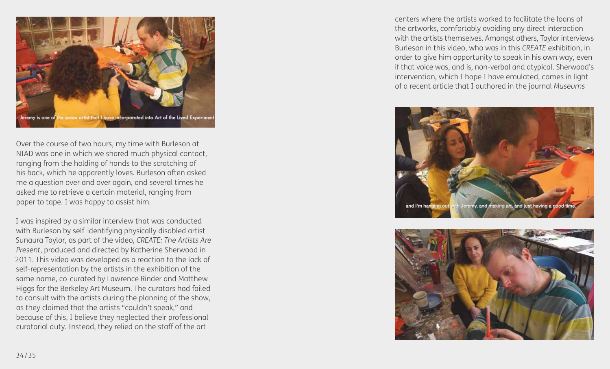

Over the course of two hours, my time with Burleson at NIAD was one in which we shared much physical contact, ranging from the holding of hands to the scratching of his back, which he apparently loves. Burleson often asked me a question over and over again, and several times he asked me to retrieve a certain material, ranging from paper to tape. I was happy to assist him.

I was inspired by a similar interview that was conducted with Burleson by self-identifying physically disabled artist Sunaura Taylor, as part of the video, *CREATE: The Artists Are Present*, produced and directed by Katherine Sherwood in 2011. This video was developed as a reaction to the lack of self-representation by the artists in the exhibition of the same name, co-curated by Lawrence Rinder and Matthew Higgs for the Berkeley Art Museum. The curators had failed to consult with the artists during the planning of the show, as they claimed that the artists "couldn't speak," and because of this, I believe they neglected their professional curatorial duty. Instead, they relied on the staff of the art

centers where the artists worked to facilitate the loans of the artworks, comfortably avoiding any direct interaction with the artists themselves. Amongst others, Taylor interviews Burleson in this video, who was in this *CREATE* exhibition, in order to give him opportunity to speak in his own way, even if that voice was, and is, non-verbal and atypical. Sherwood's intervention, which I hope I have emulated, comes in light of a recent article that I authored in the journal *Museums* 



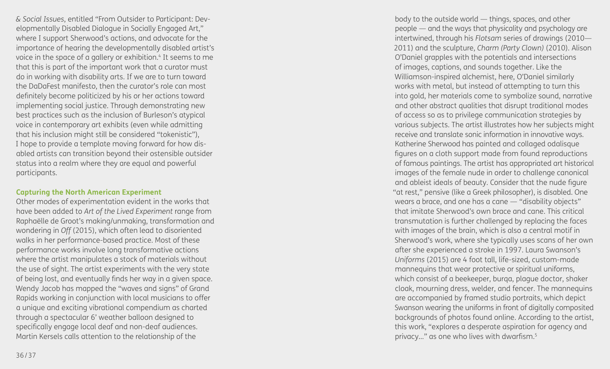*& Social Issues*, entitled "From Outsider to Participant: Developmentally Disabled Dialogue in Socially Engaged Art," where I support Sherwood's actions, and advocate for the importance of hearing the developmentally disabled artist's voice in the space of a gallery or exhibition. 4 It seems to me that this is part of the important work that a curator must do in working with disability arts. If we are to turn toward the DaDaFest manifesto, then the curator's role can most definitely become politicized by his or her actions toward implementing social justice. Through demonstrating new best practices such as the inclusion of Burleson's atypical voice in contemporary art exhibits (even while admitting that his inclusion might still be considered "tokenistic"), I hope to provide a template moving forward for how disabled artists can transition beyond their ostensible outsider status into a realm where they are equal and powerful participants.

### **Capturing the North American Experiment**

Other modes of experimentation evident in the works that have been added to *Art of the Lived Experiment* range from Raphaëlle de Groot's making/unmaking, transformation and wondering in *Off* (2015), which often lead to disoriented walks in her performance-based practice. Most of these performance works involve long transformative actions where the artist manipulates a stock of materials without the use of sight. The artist experiments with the very state of being lost, and eventually finds her way in a given space. Wendy Jacob has mapped the "waves and signs" of Grand Rapids working in conjunction with local musicians to offer a unique and exciting vibrational compendium as charted through a spectacular 6' weather balloon designed to specifically engage local deaf and non-deaf audiences. Martin Kersels calls attention to the relationship of the

body to the outside world — things, spaces, and other people — and the ways that physicality and psychology are intertwined, through his *Flotsam* series of drawings (2010— 2011) and the sculpture, *Charm (Party Clown)* (2010). Alison O'Daniel grapples with the potentials and intersections of images, captions, and sounds together. Like the Williamson-inspired alchemist, here, O'Daniel similarly works with metal, but instead of attempting to turn this into gold, her materials come to symbolize sound, narrative and other abstract qualities that disrupt traditional modes of access so as to privilege communication strategies by various subjects. The artist illustrates how her subjects might receive and translate sonic information in innovative ways. Katherine Sherwood has painted and collaged odalisque figures on a cloth support made from found reproductions of famous paintings. The artist has appropriated art historical images of the female nude in order to challenge canonical and ableist ideals of beauty. Consider that the nude figure "at rest," pensive (like a Greek philosopher), is disabled. One wears a brace, and one has a cane — "disability objects" that imitate Sherwood's own brace and cane. This critical transmutation is further challenged by replacing the faces with images of the brain, which is also a central motif in Sherwood's work, where she typically uses scans of her own after she experienced a stroke in 1997. Laura Swanson's *Uniforms* (2015) are 4 foot tall, life-sized, custom-made mannequins that wear protective or spiritual uniforms, which consist of a beekeeper, burqa, plague doctor, shaker cloak, mourning dress, welder, and fencer. The mannequins are accompanied by framed studio portraits, which depict Swanson wearing the uniforms in front of digitally composited backgrounds of photos found online. According to the artist, this work, "explores a desperate aspiration for agency and privacy…" as one who lives with dwarfism. 5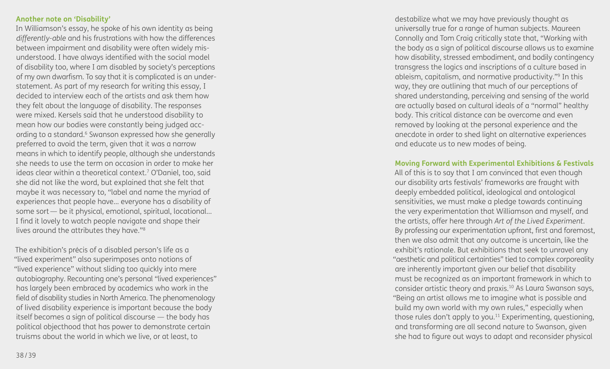#### **Another note on 'Disability'**

In Williamson's essay, he spoke of his own identity as being *differently-able* and his frustrations with how the differences between impairment and disability were often widely misunderstood. I have always identified with the social model of disability too, where I am disabled by society's perceptions of my own dwarfism. To say that it is complicated is an understatement. As part of my research for writing this essay, I decided to interview each of the artists and ask them how they felt about the language of disability. The responses were mixed. Kersels said that he understood disability to mean how our bodies were constantly being judged according to a standard.6 Swanson expressed how she generally preferred to avoid the term, given that it was a narrow means in which to identify people, although she understands she needs to use the term on occasion in order to make her ideas clear within a theoretical context. 7 O'Daniel, too, said she did not like the word, but explained that she felt that maybe it was necessary to, "label and name the myriad of experiences that people have… everyone has a disability of some sort — be it physical, emotional, spiritual, locational... I find it lovely to watch people navigate and shape their lives around the attributes they have." 8

The exhibition's précis of a disabled person's life as a "lived experiment" also superimposes onto notions of "lived experience" without sliding too quickly into mere autobiography. Recounting one's personal "lived experiences" has largely been embraced by academics who work in the field of disability studies in North America. The phenomenology of lived disability experience is important because the body itself becomes a sign of political discourse — the body has political objecthood that has power to demonstrate certain truisms about the world in which we live, or at least, to

destabilize what we may have previously thought as universally true for a range of human subjects. Maureen Connolly and Tom Craig critically state that, "Working with the body as a sign of political discourse allows us to examine how disability, stressed embodiment, and bodily contingency transgress the logics and inscriptions of a culture based in ableism, capitalism, and normative productivity." 9 In this way, they are outlining that much of our perceptions of shared understanding, perceiving and sensing of the world are actually based on cultural ideals of a "normal" healthy body. This critical distance can be overcome and even removed by looking at the personal experience and the anecdote in order to shed light on alternative experiences and educate us to new modes of being.

#### **Moving Forward with Experimental Exhibitions & Festivals**

All of this is to say that I am convinced that even though our disability arts festivals' frameworks are fraught with deeply embedded political, ideological and ontological sensitivities, we must make a pledge towards continuing the very experimentation that Williamson and myself, and the artists, offer here through *Art of the Lived Experiment*. By professing our experimentation upfront, first and foremost, then we also admit that any outcome is uncertain, like the exhibit's rationale. But exhibitions that seek to unravel any "aesthetic and political certainties" tied to complex corporeality are inherently important given our belief that disability must be recognized as an important framework in which to consider artistic theory and praxis.10 As Laura Swanson says, "Being an artist allows me to imagine what is possible and build my own world with my own rules," especially when those rules don't apply to you.<sup>11</sup> Experimenting, questioning, and transforming are all second nature to Swanson, given she had to figure out ways to adapt and reconsider physical